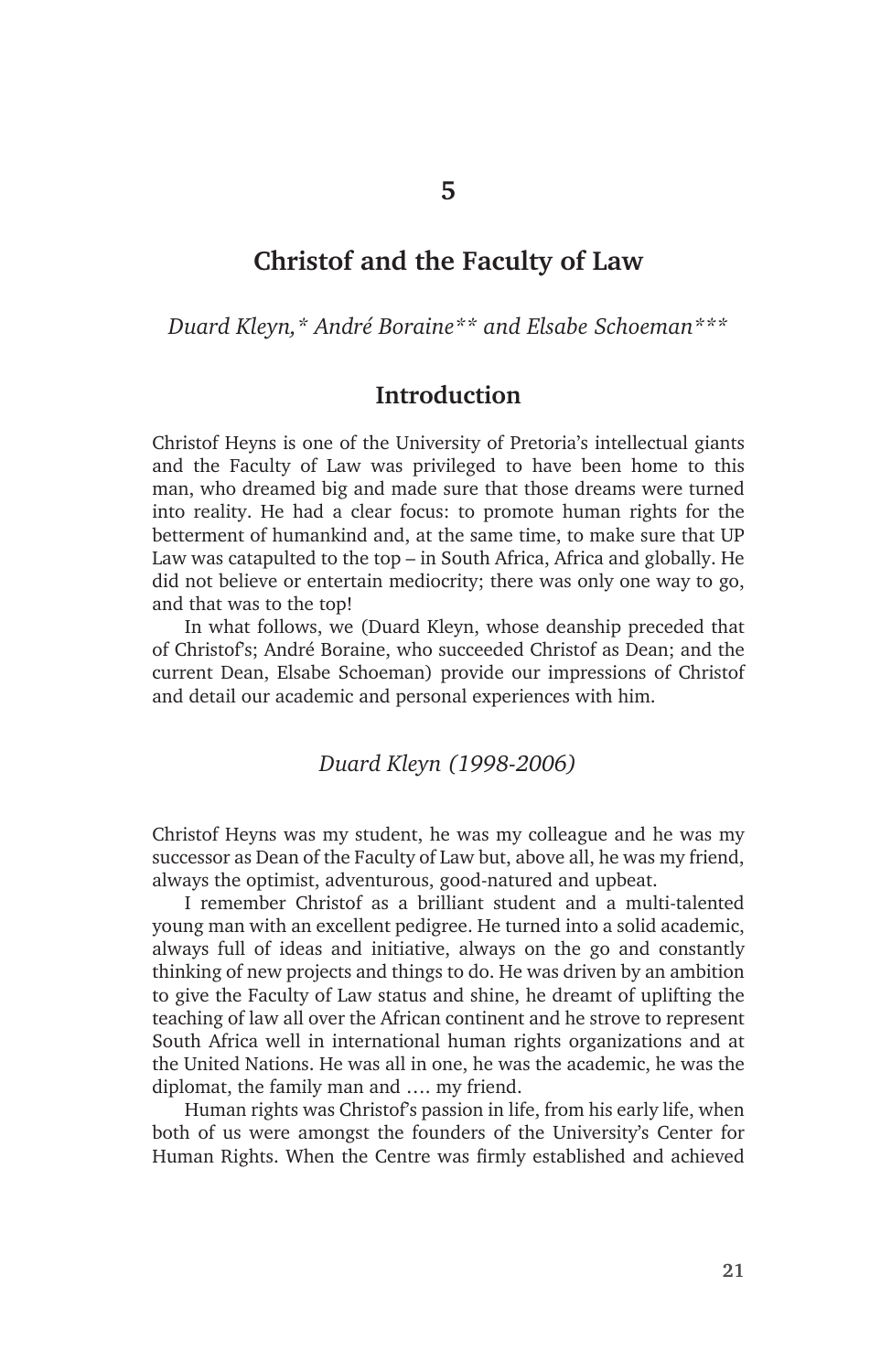# **Christof and the Faculty of Law**

*Duard Kleyn,\* André Boraine\*\* and Elsabe Schoeman\*\*\**

### **Introduction**

Christof Heyns is one of the University of Pretoria's intellectual giants and the Faculty of Law was privileged to have been home to this man, who dreamed big and made sure that those dreams were turned into reality. He had a clear focus: to promote human rights for the betterment of humankind and, at the same time, to make sure that UP Law was catapulted to the top – in South Africa, Africa and globally. He did not believe or entertain mediocrity; there was only one way to go, and that was to the top!

In what follows, we (Duard Kleyn, whose deanship preceded that of Christof's; André Boraine, who succeeded Christof as Dean; and the current Dean, Elsabe Schoeman) provide our impressions of Christof and detail our academic and personal experiences with him.

#### *Duard Kleyn (1998-2006)*

Christof Heyns was my student, he was my colleague and he was my successor as Dean of the Faculty of Law but, above all, he was my friend, always the optimist, adventurous, good-natured and upbeat.

I remember Christof as a brilliant student and a multi-talented young man with an excellent pedigree. He turned into a solid academic, always full of ideas and initiative, always on the go and constantly thinking of new projects and things to do. He was driven by an ambition to give the Faculty of Law status and shine, he dreamt of uplifting the teaching of law all over the African continent and he strove to represent South Africa well in international human rights organizations and at the United Nations. He was all in one, he was the academic, he was the diplomat, the family man and …. my friend.

Human rights was Christof's passion in life, from his early life, when both of us were amongst the founders of the University's Center for Human Rights. When the Centre was firmly established and achieved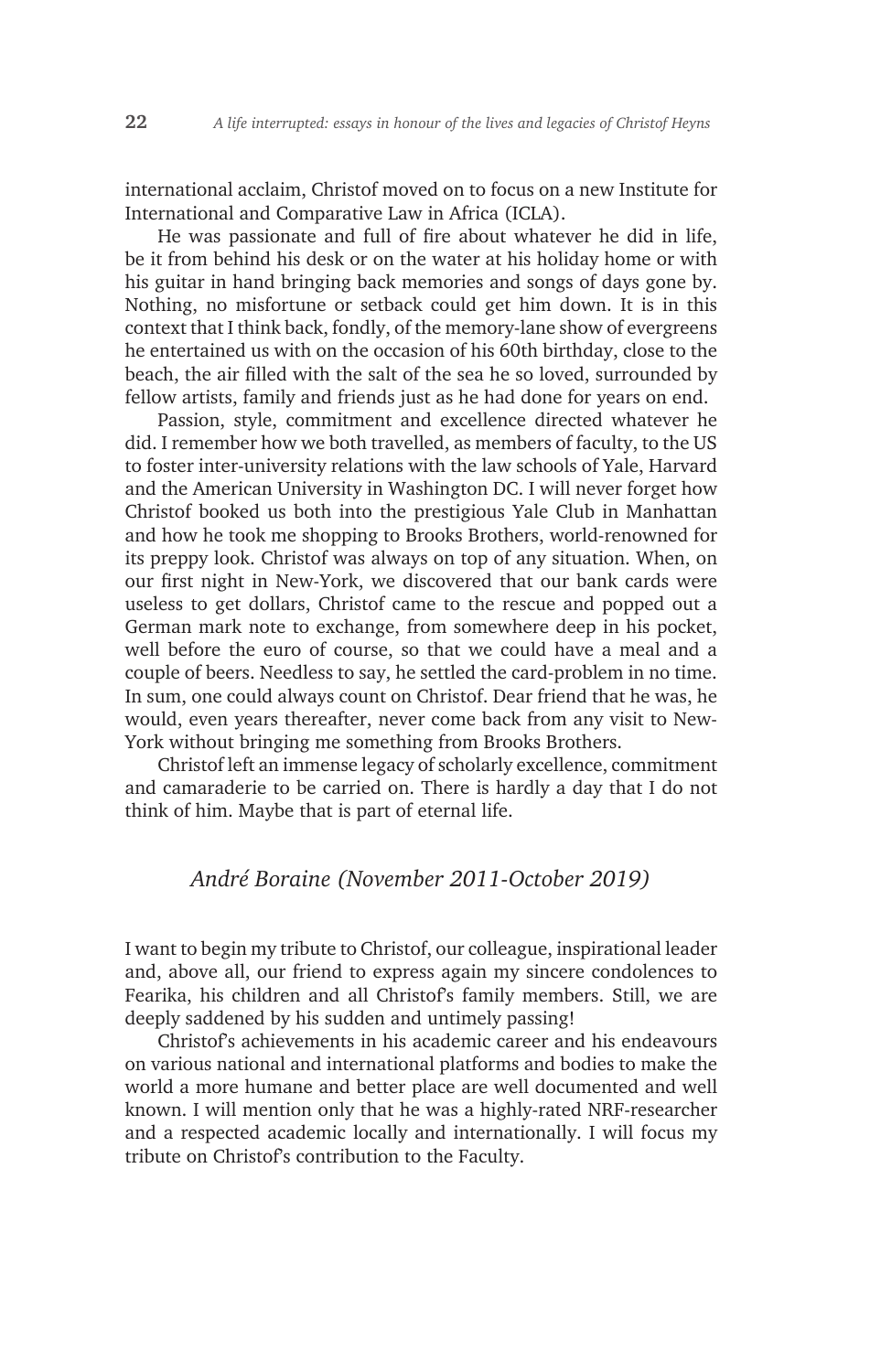international acclaim, Christof moved on to focus on a new Institute for International and Comparative Law in Africa (ICLA).

He was passionate and full of fire about whatever he did in life, be it from behind his desk or on the water at his holiday home or with his guitar in hand bringing back memories and songs of days gone by. Nothing, no misfortune or setback could get him down. It is in this context that I think back, fondly, of the memory-lane show of evergreens he entertained us with on the occasion of his 60th birthday, close to the beach, the air filled with the salt of the sea he so loved, surrounded by fellow artists, family and friends just as he had done for years on end.

Passion, style, commitment and excellence directed whatever he did. I remember how we both travelled, as members of faculty, to the US to foster inter-university relations with the law schools of Yale, Harvard and the American University in Washington DC. I will never forget how Christof booked us both into the prestigious Yale Club in Manhattan and how he took me shopping to Brooks Brothers, world-renowned for its preppy look. Christof was always on top of any situation. When, on our first night in New-York, we discovered that our bank cards were useless to get dollars, Christof came to the rescue and popped out a German mark note to exchange, from somewhere deep in his pocket, well before the euro of course, so that we could have a meal and a couple of beers. Needless to say, he settled the card-problem in no time. In sum, one could always count on Christof. Dear friend that he was, he would, even years thereafter, never come back from any visit to New-York without bringing me something from Brooks Brothers.

Christof left an immense legacy of scholarly excellence, commitment and camaraderie to be carried on. There is hardly a day that I do not think of him. Maybe that is part of eternal life.

### *André Boraine (November 2011-October 2019)*

I want to begin my tribute to Christof, our colleague, inspirational leader and, above all, our friend to express again my sincere condolences to Fearika, his children and all Christof's family members. Still, we are deeply saddened by his sudden and untimely passing!

Christof's achievements in his academic career and his endeavours on various national and international platforms and bodies to make the world a more humane and better place are well documented and well known. I will mention only that he was a highly-rated NRF-researcher and a respected academic locally and internationally. I will focus my tribute on Christof's contribution to the Faculty.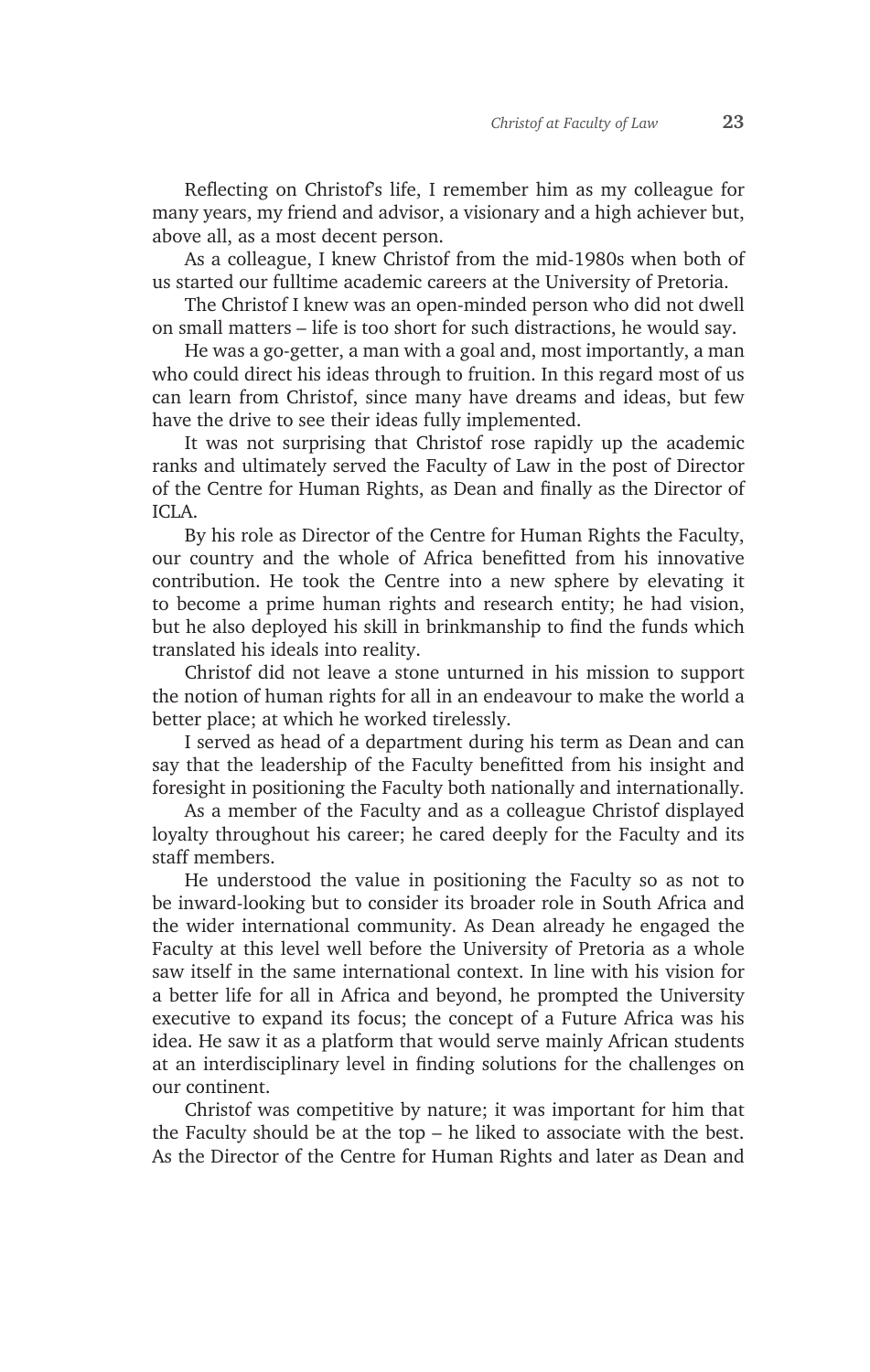Reflecting on Christof's life, I remember him as my colleague for many years, my friend and advisor, a visionary and a high achiever but, above all, as a most decent person.

As a colleague, I knew Christof from the mid-1980s when both of us started our fulltime academic careers at the University of Pretoria.

The Christof I knew was an open-minded person who did not dwell on small matters – life is too short for such distractions, he would say.

He was a go-getter, a man with a goal and, most importantly, a man who could direct his ideas through to fruition. In this regard most of us can learn from Christof, since many have dreams and ideas, but few have the drive to see their ideas fully implemented.

It was not surprising that Christof rose rapidly up the academic ranks and ultimately served the Faculty of Law in the post of Director of the Centre for Human Rights, as Dean and finally as the Director of ICLA.

By his role as Director of the Centre for Human Rights the Faculty, our country and the whole of Africa benefitted from his innovative contribution. He took the Centre into a new sphere by elevating it to become a prime human rights and research entity; he had vision, but he also deployed his skill in brinkmanship to find the funds which translated his ideals into reality.

Christof did not leave a stone unturned in his mission to support the notion of human rights for all in an endeavour to make the world a better place; at which he worked tirelessly.

I served as head of a department during his term as Dean and can say that the leadership of the Faculty benefitted from his insight and foresight in positioning the Faculty both nationally and internationally.

As a member of the Faculty and as a colleague Christof displayed loyalty throughout his career; he cared deeply for the Faculty and its staff members.

He understood the value in positioning the Faculty so as not to be inward-looking but to consider its broader role in South Africa and the wider international community. As Dean already he engaged the Faculty at this level well before the University of Pretoria as a whole saw itself in the same international context. In line with his vision for a better life for all in Africa and beyond, he prompted the University executive to expand its focus; the concept of a Future Africa was his idea. He saw it as a platform that would serve mainly African students at an interdisciplinary level in finding solutions for the challenges on our continent.

Christof was competitive by nature; it was important for him that the Faculty should be at the top – he liked to associate with the best. As the Director of the Centre for Human Rights and later as Dean and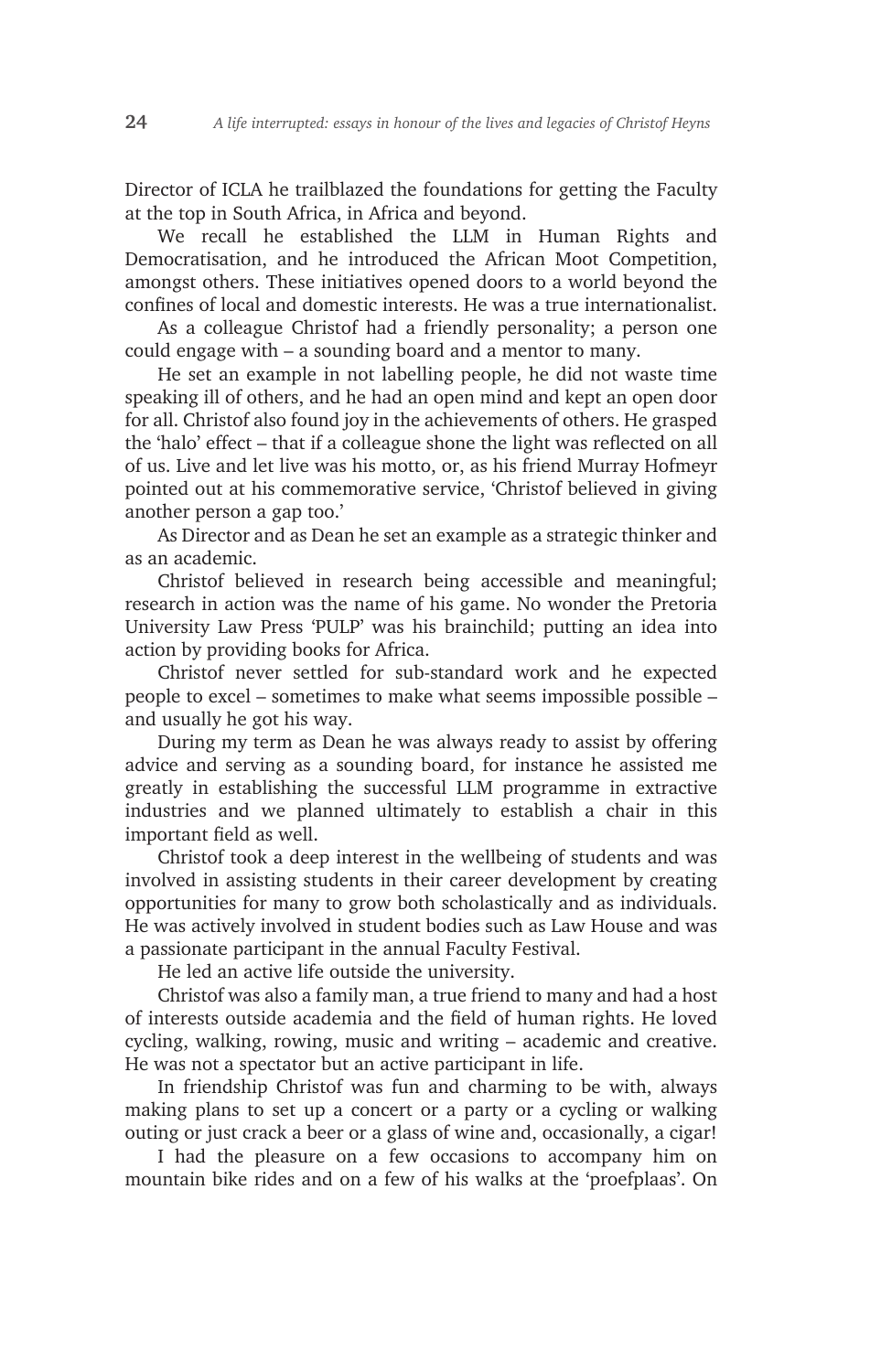Director of ICLA he trailblazed the foundations for getting the Faculty at the top in South Africa, in Africa and beyond.

We recall he established the LLM in Human Rights and Democratisation, and he introduced the African Moot Competition, amongst others. These initiatives opened doors to a world beyond the confines of local and domestic interests. He was a true internationalist.

As a colleague Christof had a friendly personality; a person one could engage with – a sounding board and a mentor to many.

He set an example in not labelling people, he did not waste time speaking ill of others, and he had an open mind and kept an open door for all. Christof also found joy in the achievements of others. He grasped the 'halo' effect – that if a colleague shone the light was reflected on all of us. Live and let live was his motto, or, as his friend Murray Hofmeyr pointed out at his commemorative service, 'Christof believed in giving another person a gap too.'

As Director and as Dean he set an example as a strategic thinker and as an academic.

Christof believed in research being accessible and meaningful; research in action was the name of his game. No wonder the Pretoria University Law Press 'PULP' was his brainchild; putting an idea into action by providing books for Africa.

Christof never settled for sub-standard work and he expected people to excel – sometimes to make what seems impossible possible – and usually he got his way.

During my term as Dean he was always ready to assist by offering advice and serving as a sounding board, for instance he assisted me greatly in establishing the successful LLM programme in extractive industries and we planned ultimately to establish a chair in this important field as well.

Christof took a deep interest in the wellbeing of students and was involved in assisting students in their career development by creating opportunities for many to grow both scholastically and as individuals. He was actively involved in student bodies such as Law House and was a passionate participant in the annual Faculty Festival.

He led an active life outside the university.

Christof was also a family man, a true friend to many and had a host of interests outside academia and the field of human rights. He loved cycling, walking, rowing, music and writing – academic and creative. He was not a spectator but an active participant in life.

In friendship Christof was fun and charming to be with, always making plans to set up a concert or a party or a cycling or walking outing or just crack a beer or a glass of wine and, occasionally, a cigar!

I had the pleasure on a few occasions to accompany him on mountain bike rides and on a few of his walks at the 'proefplaas'. On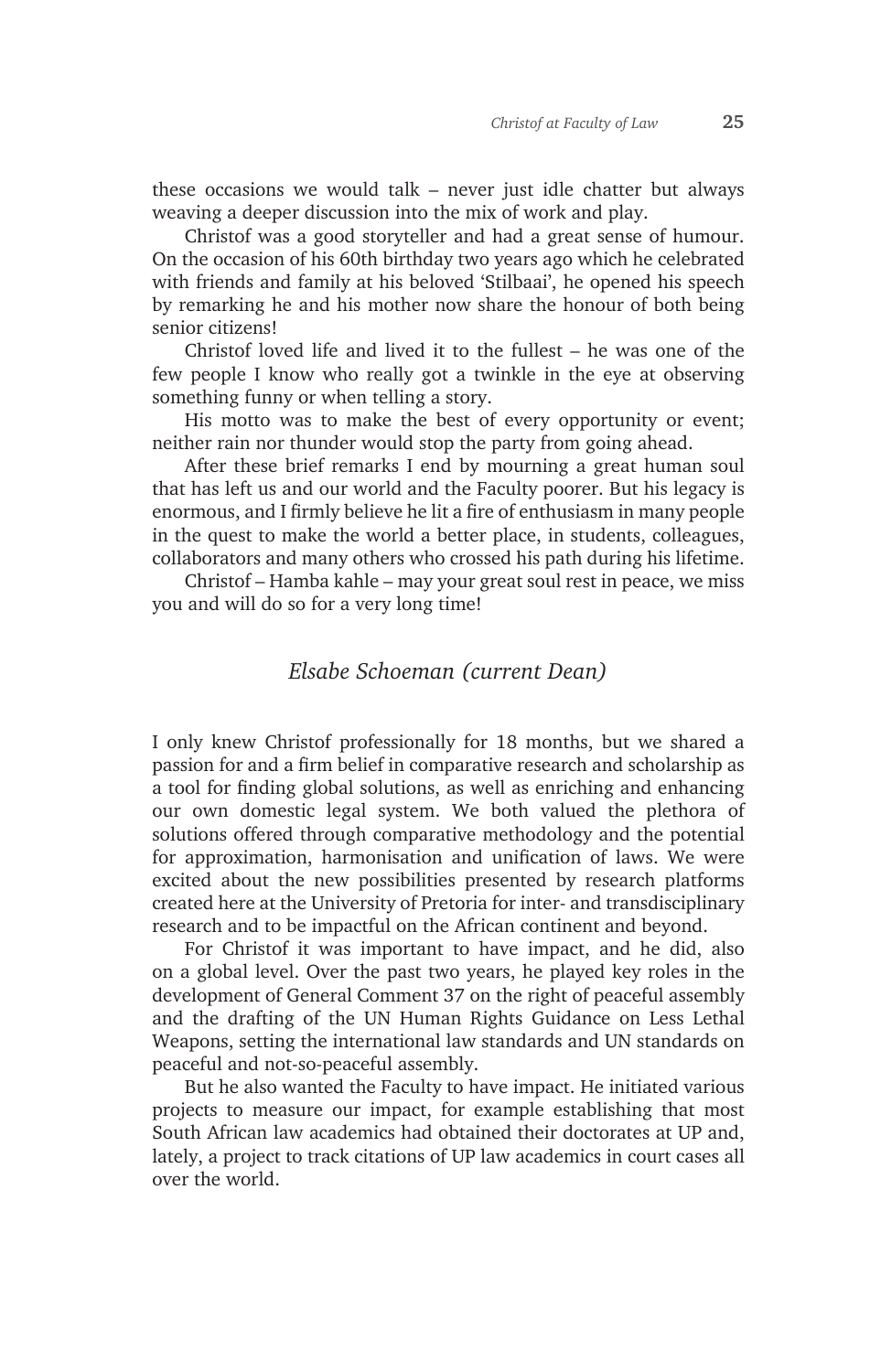these occasions we would talk – never just idle chatter but always weaving a deeper discussion into the mix of work and play.

Christof was a good storyteller and had a great sense of humour. On the occasion of his 60th birthday two years ago which he celebrated with friends and family at his beloved 'Stilbaai', he opened his speech by remarking he and his mother now share the honour of both being senior citizens!

Christof loved life and lived it to the fullest – he was one of the few people I know who really got a twinkle in the eye at observing something funny or when telling a story.

His motto was to make the best of every opportunity or event; neither rain nor thunder would stop the party from going ahead.

After these brief remarks I end by mourning a great human soul that has left us and our world and the Faculty poorer. But his legacy is enormous, and I firmly believe he lit a fire of enthusiasm in many people in the quest to make the world a better place, in students, colleagues, collaborators and many others who crossed his path during his lifetime.

Christof – Hamba kahle – may your great soul rest in peace, we miss you and will do so for a very long time!

### *Elsabe Schoeman (current Dean)*

I only knew Christof professionally for 18 months, but we shared a passion for and a firm belief in comparative research and scholarship as a tool for finding global solutions, as well as enriching and enhancing our own domestic legal system. We both valued the plethora of solutions offered through comparative methodology and the potential for approximation, harmonisation and unification of laws. We were excited about the new possibilities presented by research platforms created here at the University of Pretoria for inter- and transdisciplinary research and to be impactful on the African continent and beyond.

For Christof it was important to have impact, and he did, also on a global level. Over the past two years, he played key roles in the development of General Comment 37 on the right of peaceful assembly and the drafting of the UN Human Rights Guidance on Less Lethal Weapons, setting the international law standards and UN standards on peaceful and not-so-peaceful assembly.

But he also wanted the Faculty to have impact. He initiated various projects to measure our impact, for example establishing that most South African law academics had obtained their doctorates at UP and, lately, a project to track citations of UP law academics in court cases all over the world.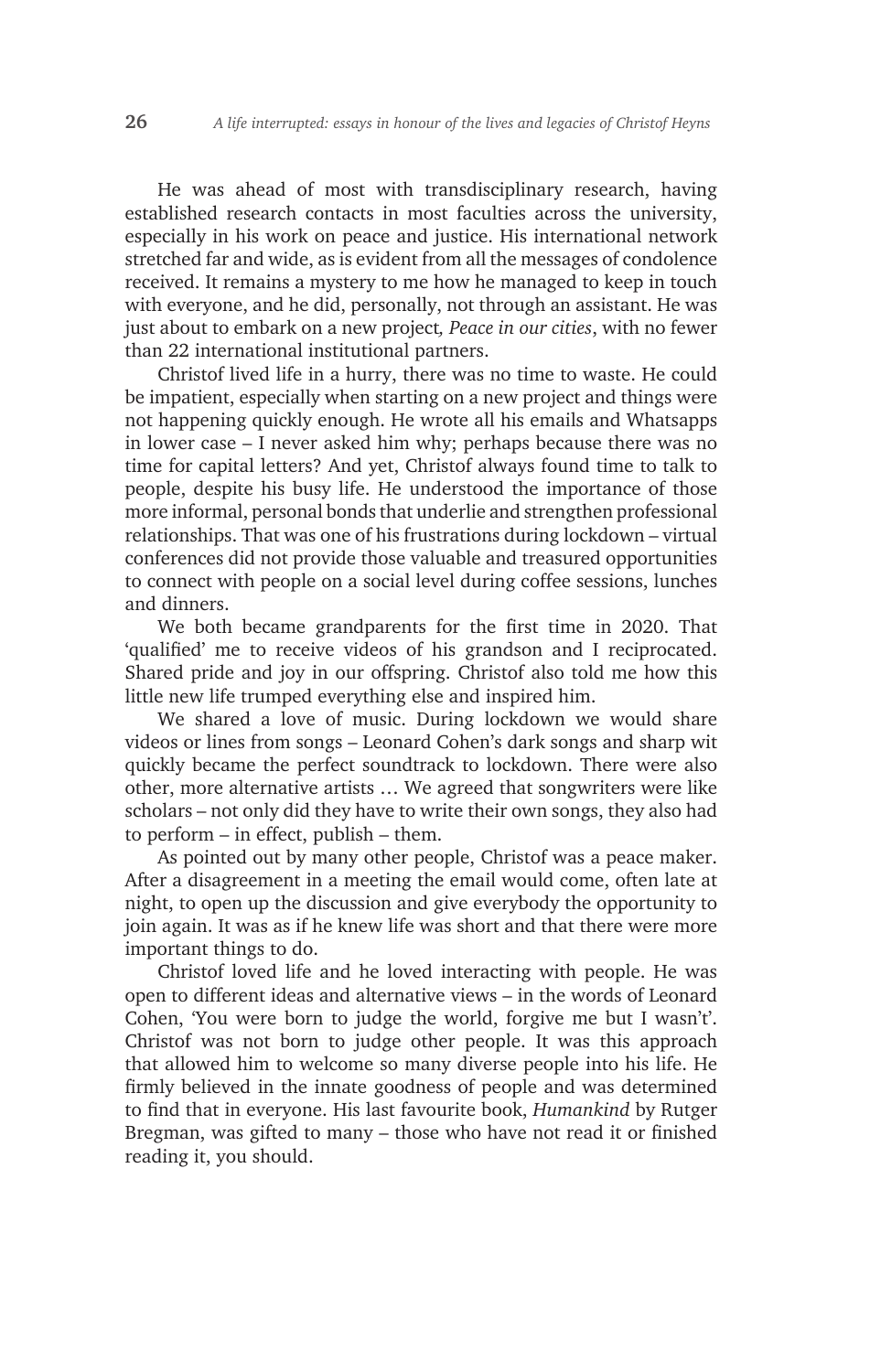He was ahead of most with transdisciplinary research, having established research contacts in most faculties across the university, especially in his work on peace and justice. His international network stretched far and wide, as is evident from all the messages of condolence received. It remains a mystery to me how he managed to keep in touch with everyone, and he did, personally, not through an assistant. He was just about to embark on a new project*, Peace in our cities*, with no fewer than 22 international institutional partners.

Christof lived life in a hurry, there was no time to waste. He could be impatient, especially when starting on a new project and things were not happening quickly enough. He wrote all his emails and Whatsapps in lower case – I never asked him why; perhaps because there was no time for capital letters? And yet, Christof always found time to talk to people, despite his busy life. He understood the importance of those more informal, personal bonds that underlie and strengthen professional relationships. That was one of his frustrations during lockdown – virtual conferences did not provide those valuable and treasured opportunities to connect with people on a social level during coffee sessions, lunches and dinners.

We both became grandparents for the first time in 2020. That 'qualified' me to receive videos of his grandson and I reciprocated. Shared pride and joy in our offspring. Christof also told me how this little new life trumped everything else and inspired him.

We shared a love of music. During lockdown we would share videos or lines from songs – Leonard Cohen's dark songs and sharp wit quickly became the perfect soundtrack to lockdown. There were also other, more alternative artists … We agreed that songwriters were like scholars – not only did they have to write their own songs, they also had to perform – in effect, publish – them.

As pointed out by many other people, Christof was a peace maker. After a disagreement in a meeting the email would come, often late at night, to open up the discussion and give everybody the opportunity to join again. It was as if he knew life was short and that there were more important things to do.

Christof loved life and he loved interacting with people. He was open to different ideas and alternative views – in the words of Leonard Cohen, 'You were born to judge the world, forgive me but I wasn't'. Christof was not born to judge other people. It was this approach that allowed him to welcome so many diverse people into his life. He firmly believed in the innate goodness of people and was determined to find that in everyone. His last favourite book, *Humankind* by Rutger Bregman, was gifted to many – those who have not read it or finished reading it, you should.